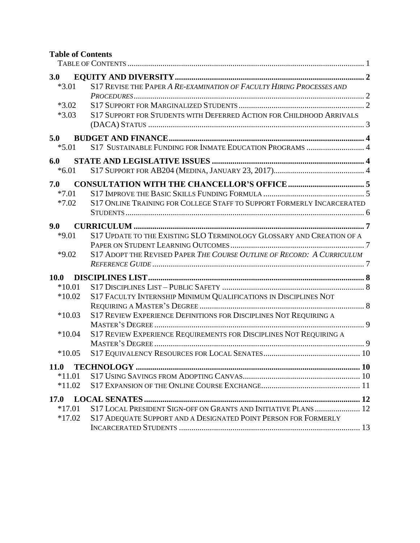<span id="page-0-0"></span>**Table of Contents**

| 3.0<br>$*3.01$<br>$*3.02$<br>$*3.03$ | S17 REVISE THE PAPER A RE-EXAMINATION OF FACULTY HIRING PROCESSES AND<br>S17 SUPPORT FOR STUDENTS WITH DEFERRED ACTION FOR CHILDHOOD ARRIVALS   |  |
|--------------------------------------|-------------------------------------------------------------------------------------------------------------------------------------------------|--|
| 5.0                                  |                                                                                                                                                 |  |
| $*5.01$                              | S17 SUSTAINABLE FUNDING FOR INMATE EDUCATION PROGRAMS  4                                                                                        |  |
| 6.0<br>$*6.01$                       |                                                                                                                                                 |  |
| 7.0                                  |                                                                                                                                                 |  |
| $*7.01$                              |                                                                                                                                                 |  |
| $*7.02$                              | S17 ONLINE TRAINING FOR COLLEGE STAFF TO SUPPORT FORMERLY INCARCERATED                                                                          |  |
| 9.0                                  |                                                                                                                                                 |  |
| $*9.01$<br>$*9.02$                   | S17 UPDATE TO THE EXISTING SLO TERMINOLOGY GLOSSARY AND CREATION OF A<br>S17 ADOPT THE REVISED PAPER THE COURSE OUTLINE OF RECORD: A CURRICULUM |  |
|                                      |                                                                                                                                                 |  |
| <b>10.0</b>                          |                                                                                                                                                 |  |
| $*10.01$                             |                                                                                                                                                 |  |
| $*10.02$                             | S17 FACULTY INTERNSHIP MINIMUM QUALIFICATIONS IN DISCIPLINES NOT                                                                                |  |
| $*10.03$                             | S17 REVIEW EXPERIENCE DEFINITIONS FOR DISCIPLINES NOT REQUIRING A                                                                               |  |
| $*10.04$                             | S17 REVIEW EXPERIENCE REQUIREMENTS FOR DISCIPLINES NOT REQUIRING A                                                                              |  |
| $*10.05$                             |                                                                                                                                                 |  |
| 11.0                                 |                                                                                                                                                 |  |
| $*11.01$                             |                                                                                                                                                 |  |
| $*11.02$                             |                                                                                                                                                 |  |
| <b>17.0</b>                          |                                                                                                                                                 |  |
| $*17.01$                             | S17 LOCAL PRESIDENT SIGN-OFF ON GRANTS AND INITIATIVE PLANS  12                                                                                 |  |
| $*17.02$                             | S17 ADEQUATE SUPPORT AND A DESIGNATED POINT PERSON FOR FORMERLY                                                                                 |  |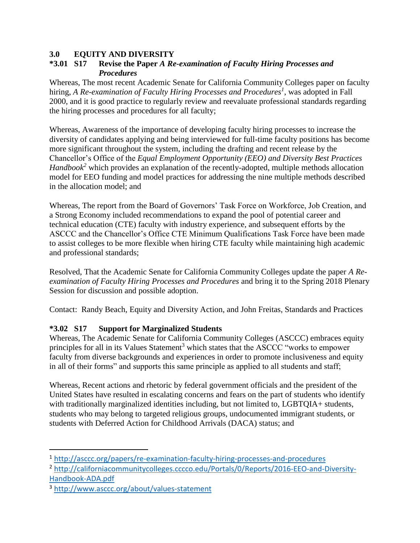### <span id="page-1-0"></span>**3.0 EQUITY AND DIVERSITY**

### <span id="page-1-1"></span>**\*3.01 S17 Revise the Paper** *A Re-examination of Faculty Hiring Processes and Procedures*

Whereas, The most recent Academic Senate for California Community Colleges paper on faculty hiring, *A Re-examination of Faculty Hiring Processes and Procedures<sup>1</sup>* , was adopted in Fall 2000, and it is good practice to regularly review and reevaluate professional standards regarding the hiring processes and procedures for all faculty;

Whereas, Awareness of the importance of developing faculty hiring processes to increase the diversity of candidates applying and being interviewed for full-time faculty positions has become more significant throughout the system, including the drafting and recent release by the Chancellor's Office of the *Equal Employment Opportunity (EEO) and Diversity Best Practices Handbook*<sup>2</sup> which provides an explanation of the recently-adopted, multiple methods allocation model for EEO funding and model practices for addressing the nine multiple methods described in the allocation model; and

Whereas, The report from the Board of Governors' Task Force on Workforce, Job Creation, and a Strong Economy included recommendations to expand the pool of potential career and technical education (CTE) faculty with industry experience, and subsequent efforts by the ASCCC and the Chancellor's Office CTE Minimum Qualifications Task Force have been made to assist colleges to be more flexible when hiring CTE faculty while maintaining high academic and professional standards;

Resolved, That the Academic Senate for California Community Colleges update the paper *A Reexamination of Faculty Hiring Processes and Procedures* and bring it to the Spring 2018 Plenary Session for discussion and possible adoption.

Contact: Randy Beach, Equity and Diversity Action, and John Freitas, Standards and Practices

# <span id="page-1-2"></span>**\*3.02 S17 Support for Marginalized Students**

Whereas, The Academic Senate for California Community Colleges (ASCCC) embraces equity principles for all in its Values Statement<sup>3</sup> which states that the ASCCC "works to empower faculty from diverse backgrounds and experiences in order to promote inclusiveness and equity in all of their forms" and supports this same principle as applied to all students and staff;

Whereas, Recent actions and rhetoric by federal government officials and the president of the United States have resulted in escalating concerns and fears on the part of students who identify with traditionally marginalized identities including, but not limited to, LGBTQIA+ students, students who may belong to targeted religious groups, undocumented immigrant students, or students with Deferred Action for Childhood Arrivals (DACA) status; and

 $\overline{a}$ 

<sup>&</sup>lt;sup>1</sup> <http://asccc.org/papers/re-examination-faculty-hiring-processes-and-procedures>

<sup>2</sup> [http://californiacommunitycolleges.cccco.edu/Portals/0/Reports/2016-EEO-and-Diversity-](http://californiacommunitycolleges.cccco.edu/Portals/0/Reports/2016-EEO-and-Diversity-Handbook-ADA.pdf)[Handbook-ADA.pdf](http://californiacommunitycolleges.cccco.edu/Portals/0/Reports/2016-EEO-and-Diversity-Handbook-ADA.pdf)

<sup>3</sup> <http://www.asccc.org/about/values-statement>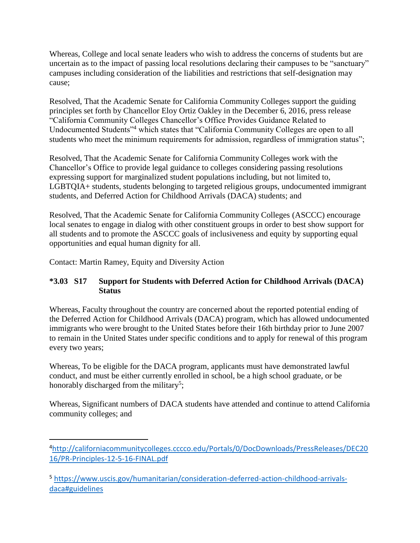Whereas, College and local senate leaders who wish to address the concerns of students but are uncertain as to the impact of passing local resolutions declaring their campuses to be "sanctuary" campuses including consideration of the liabilities and restrictions that self-designation may cause;

Resolved, That the Academic Senate for California Community Colleges support the guiding principles set forth by Chancellor Eloy Ortiz Oakley in the December 6, 2016, press release "California Community Colleges Chancellor's Office Provides Guidance Related to Undocumented Students"<sup>4</sup> which states that "California Community Colleges are open to all students who meet the minimum requirements for admission, regardless of immigration status";

Resolved, That the Academic Senate for California Community Colleges work with the Chancellor's Office to provide legal guidance to colleges considering passing resolutions expressing support for marginalized student populations including, but not limited to, LGBTQIA+ students, students belonging to targeted religious groups, undocumented immigrant students, and Deferred Action for Childhood Arrivals (DACA) students; and

Resolved, That the Academic Senate for California Community Colleges (ASCCC) encourage local senates to engage in dialog with other constituent groups in order to best show support for all students and to promote the ASCCC goals of inclusiveness and equity by supporting equal opportunities and equal human dignity for all.

Contact: Martin Ramey, Equity and Diversity Action

### <span id="page-2-0"></span>**\*3.03 S17 Support for Students with Deferred Action for Childhood Arrivals (DACA) Status**

Whereas, Faculty throughout the country are concerned about the reported potential ending of the Deferred Action for Childhood Arrivals (DACA) program, which has allowed undocumented immigrants who were brought to the United States before their 16th birthday prior to June 2007 to remain in the United States under specific conditions and to apply for renewal of this program every two years;

Whereas, To be eligible for the DACA program, applicants must have demonstrated lawful conduct, and must be either currently enrolled in school, be a high school graduate, or be honorably discharged from the military<sup>5</sup>;

Whereas, Significant numbers of DACA students have attended and continue to attend California community colleges; and

 $\overline{a}$ <sup>4</sup>[http://californiacommunitycolleges.cccco.edu/Portals/0/DocDownloads/PressReleases/DEC20](http://californiacommunitycolleges.cccco.edu/Portals/0/DocDownloads/PressReleases/DEC2016/PR-Principles-12-5-16-FINAL.pdf) [16/PR-Principles-12-5-16-FINAL.pdf](http://californiacommunitycolleges.cccco.edu/Portals/0/DocDownloads/PressReleases/DEC2016/PR-Principles-12-5-16-FINAL.pdf)

<sup>5</sup> [https://www.uscis.gov/humanitarian/consideration-deferred-action-childhood-arrivals](https://www.uscis.gov/humanitarian/consideration-deferred-action-childhood-arrivals-daca#guidelines)[daca#guidelines](https://www.uscis.gov/humanitarian/consideration-deferred-action-childhood-arrivals-daca#guidelines)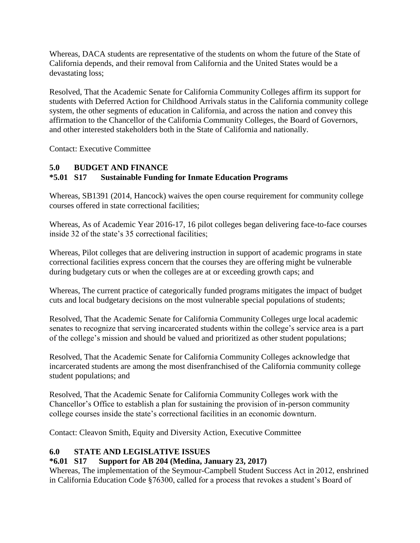Whereas, DACA students are representative of the students on whom the future of the State of California depends, and their removal from California and the United States would be a devastating loss;

Resolved, That the Academic Senate for California Community Colleges affirm its support for students with Deferred Action for Childhood Arrivals status in the California community college system, the other segments of education in California, and across the nation and convey this affirmation to the Chancellor of the California Community Colleges, the Board of Governors, and other interested stakeholders both in the State of California and nationally.

Contact: Executive Committee

## <span id="page-3-1"></span><span id="page-3-0"></span>**5.0 BUDGET AND FINANCE \*5.01 S17 Sustainable Funding for Inmate Education Programs**

Whereas, SB1391 (2014, Hancock) waives the open course requirement for community college courses offered in state correctional facilities;

Whereas, As of Academic Year 2016-17, 16 pilot colleges began delivering face-to-face courses inside 32 of the state's 35 correctional facilities;

Whereas, Pilot colleges that are delivering instruction in support of academic programs in state correctional facilities express concern that the courses they are offering might be vulnerable during budgetary cuts or when the colleges are at or exceeding growth caps; and

Whereas, The current practice of categorically funded programs mitigates the impact of budget cuts and local budgetary decisions on the most vulnerable special populations of students;

Resolved, That the Academic Senate for California Community Colleges urge local academic senates to recognize that serving incarcerated students within the college's service area is a part of the college's mission and should be valued and prioritized as other student populations;

Resolved, That the Academic Senate for California Community Colleges acknowledge that incarcerated students are among the most disenfranchised of the California community college student populations; and

Resolved, That the Academic Senate for California Community Colleges work with the Chancellor's Office to establish a plan for sustaining the provision of in-person community college courses inside the state's correctional facilities in an economic downturn.

Contact: Cleavon Smith, Equity and Diversity Action, Executive Committee

### <span id="page-3-2"></span>**6.0 STATE AND LEGISLATIVE ISSUES**

### <span id="page-3-3"></span>**\*6.01 S17 Support for AB 204 (Medina, January 23, 2017)**

Whereas, The implementation of the Seymour-Campbell Student Success Act in 2012, enshrined in California Education Code §76300, called for a process that revokes a student's Board of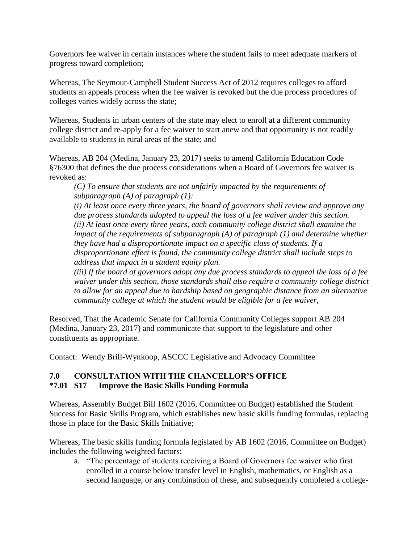Governors fee waiver in certain instances where the student fails to meet adequate markers of progress toward completion;

Whereas, The Seymour-Campbell Student Success Act of 2012 requires colleges to afford students an appeals process when the fee waiver is revoked but the due process procedures of colleges varies widely across the state;

Whereas, Students in urban centers of the state may elect to enroll at a different community college district and re-apply for a fee waiver to start anew and that opportunity is not readily available to students in rural areas of the state; and

Whereas, AB 204 (Medina, January 23, 2017) seeks to amend California Education Code §76300 that defines the due process considerations when a Board of Governors fee waiver is revoked as:

*(C) To ensure that students are not unfairly impacted by the requirements of subparagraph (A) of paragraph (1):*

*(i) At least once every three years, the board of governors shall review and approve any due process standards adopted to appeal the loss of a fee waiver under this section. (ii) At least once every three years, each community college district shall examine the impact of the requirements of subparagraph (A) of paragraph (1) and determine whether they have had a disproportionate impact on a specific class of students. If a disproportionate effect is found, the community college district shall include steps to address that impact in a student equity plan.*

*(iii) If the board of governors adopt any due process standards to appeal the loss of a fee waiver under this section, those standards shall also require a community college district to allow for an appeal due to hardship based on geographic distance from an alternative community college at which the student would be eligible for a fee waiver,*

Resolved, That the Academic Senate for California Community Colleges support AB 204 (Medina, January 23, 2017) and communicate that support to the legislature and other constituents as appropriate.

Contact: Wendy Brill-Wynkoop, ASCCC Legislative and Advocacy Committee

#### <span id="page-4-1"></span><span id="page-4-0"></span>**7.0 CONSULTATION WITH THE CHANCELLOR'S OFFICE \*7.01 S17 Improve the Basic Skills Funding Formula**

Whereas, Assembly Budget Bill 1602 (2016, Committee on Budget) established the Student Success for Basic Skills Program, which establishes new basic skills funding formulas, replacing those in place for the Basic Skills Initiative;

Whereas, The basic skills funding formula legislated by AB 1602 (2016, Committee on Budget) includes the following weighted factors:

a. "The percentage of students receiving a Board of Governors fee waiver who first enrolled in a course below transfer level in English, mathematics, or English as a second language, or any combination of these, and subsequently completed a college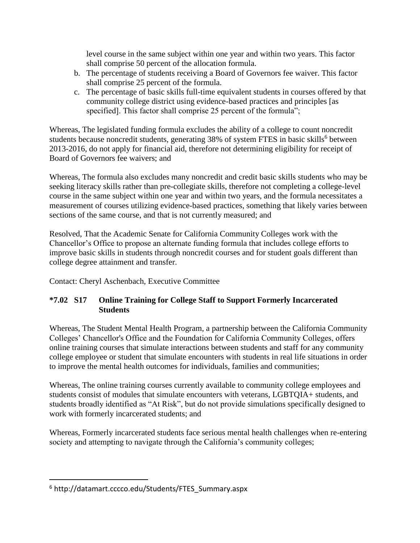level course in the same subject within one year and within two years. This factor shall comprise 50 percent of the allocation formula.

- b. The percentage of students receiving a Board of Governors fee waiver. This factor shall comprise 25 percent of the formula.
- c. The percentage of basic skills full-time equivalent students in courses offered by that community college district using evidence-based practices and principles [as specified]. This factor shall comprise 25 percent of the formula";

Whereas, The legislated funding formula excludes the ability of a college to count noncredit students because noncredit students, generating 38% of system FTES in basic skills<sup>6</sup> between 2013-2016, do not apply for financial aid, therefore not determining eligibility for receipt of Board of Governors fee waivers; and

Whereas, The formula also excludes many noncredit and credit basic skills students who may be seeking literacy skills rather than pre-collegiate skills, therefore not completing a college-level course in the same subject within one year and within two years, and the formula necessitates a measurement of courses utilizing evidence-based practices, something that likely varies between sections of the same course, and that is not currently measured; and

Resolved, That the Academic Senate for California Community Colleges work with the Chancellor's Office to propose an alternate funding formula that includes college efforts to improve basic skills in students through noncredit courses and for student goals different than college degree attainment and transfer.

Contact: Cheryl Aschenbach, Executive Committee

# <span id="page-5-0"></span>**\*7.02 S17 Online Training for College Staff to Support Formerly Incarcerated Students**

Whereas, The Student Mental Health Program, a partnership between the California Community Colleges' Chancellor's Office and the Foundation for California Community Colleges, offers online training courses that simulate interactions between students and staff for any community college employee or student that simulate encounters with students in real life situations in order to improve the mental health outcomes for individuals, families and communities;

Whereas, The online training courses currently available to community college employees and students consist of modules that simulate encounters with veterans, LGBTQIA+ students, and students broadly identified as "At Risk", but do not provide simulations specifically designed to work with formerly incarcerated students; and

Whereas, Formerly incarcerated students face serious mental health challenges when re-entering society and attempting to navigate through the California's community colleges;

 $\overline{a}$ 

<sup>6</sup> http://datamart.cccco.edu/Students/FTES\_Summary.aspx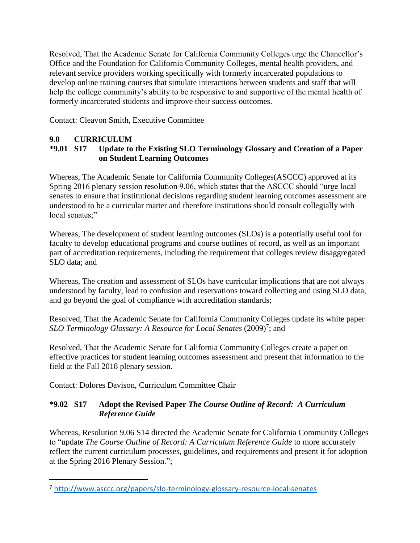Resolved, That the Academic Senate for California Community Colleges urge the Chancellor's Office and the Foundation for California Community Colleges, mental health providers, and relevant service providers working specifically with formerly incarcerated populations to develop online training courses that simulate interactions between students and staff that will help the college community's ability to be responsive to and supportive of the mental health of formerly incarcerated students and improve their success outcomes.

Contact: Cleavon Smith, Executive Committee

# <span id="page-6-0"></span>**9.0 CURRICULUM**

 $\overline{a}$ 

### <span id="page-6-1"></span>**\*9.01 S17 Update to the Existing SLO Terminology Glossary and Creation of a Paper on Student Learning Outcomes**

Whereas, The Academic Senate for California Community Colleges(ASCCC) approved at its Spring 2016 plenary session resolution 9.06, which states that the ASCCC should "urge local senates to ensure that institutional decisions regarding student learning outcomes assessment are understood to be a curricular matter and therefore institutions should consult collegially with local senates;"

Whereas, The development of student learning outcomes (SLOs) is a potentially useful tool for faculty to develop educational programs and course outlines of record, as well as an important part of accreditation requirements, including the requirement that colleges review disaggregated SLO data; and

Whereas, The creation and assessment of SLOs have curricular implications that are not always understood by faculty, lead to confusion and reservations toward collecting and using SLO data, and go beyond the goal of compliance with accreditation standards;

Resolved, That the Academic Senate for California Community Colleges update its white paper SLO Terminology Glossary: A Resource for Local Senates (2009)<sup>7</sup>; and

Resolved, That the Academic Senate for California Community Colleges create a paper on effective practices for student learning outcomes assessment and present that information to the field at the Fall 2018 plenary session.

Contact: Dolores Davison, Curriculum Committee Chair

### <span id="page-6-2"></span>**\*9.02 S17 Adopt the Revised Paper** *The Course Outline of Record: A Curriculum Reference Guide*

Whereas, Resolution 9.06 S14 directed the Academic Senate for California Community Colleges to "update *The Course Outline of Record: A Curriculum Reference Guide* to more accurately reflect the current curriculum processes, guidelines, and requirements and present it for adoption at the Spring 2016 Plenary Session.";

<sup>7</sup> <http://www.asccc.org/papers/slo-terminology-glossary-resource-local-senates>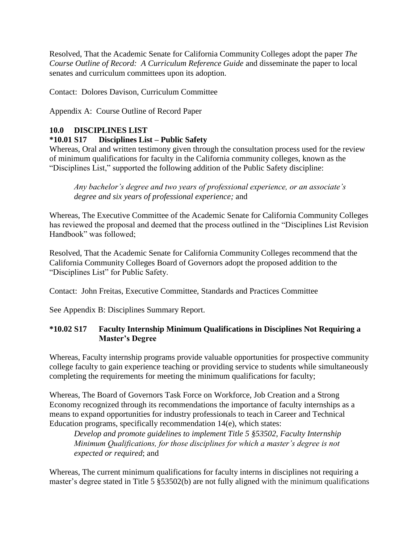Resolved, That the Academic Senate for California Community Colleges adopt the paper *The Course Outline of Record: A Curriculum Reference Guide* and disseminate the paper to local senates and curriculum committees upon its adoption.

Contact: Dolores Davison, Curriculum Committee

Appendix A: Course Outline of Record Paper

#### <span id="page-7-0"></span>**10.0 DISCIPLINES LIST**

#### <span id="page-7-1"></span>**\*10.01 S17 Disciplines List – Public Safety**

Whereas, Oral and written testimony given through the consultation process used for the review of minimum qualifications for faculty in the California community colleges, known as the "Disciplines List," supported the following addition of the Public Safety discipline:

*Any bachelor's degree and two years of professional experience, or an associate's degree and six years of professional experience;* and

Whereas, The Executive Committee of the Academic Senate for California Community Colleges has reviewed the proposal and deemed that the process outlined in the "Disciplines List Revision Handbook" was followed;

Resolved, That the Academic Senate for California Community Colleges recommend that the California Community Colleges Board of Governors adopt the proposed addition to the "Disciplines List" for Public Safety.

Contact: John Freitas, Executive Committee, Standards and Practices Committee

See Appendix B: Disciplines Summary Report.

### <span id="page-7-2"></span>**\*10.02 S17 Faculty Internship Minimum Qualifications in Disciplines Not Requiring a Master's Degree**

Whereas, Faculty internship programs provide valuable opportunities for prospective community college faculty to gain experience teaching or providing service to students while simultaneously completing the requirements for meeting the minimum qualifications for faculty;

Whereas, The Board of Governors Task Force on Workforce, Job Creation and a Strong Economy recognized through its recommendations the importance of faculty internships as a means to expand opportunities for industry professionals to teach in Career and Technical Education programs, specifically recommendation 14(e), which states:

*Develop and promote guidelines to implement Title 5 §53502, Faculty Internship Minimum Qualifications, for those disciplines for which a master's degree is not expected or required*; and

Whereas, The current minimum qualifications for faculty interns in disciplines not requiring a master's degree stated in Title 5 §53502(b) are not fully aligned with the minimum qualifications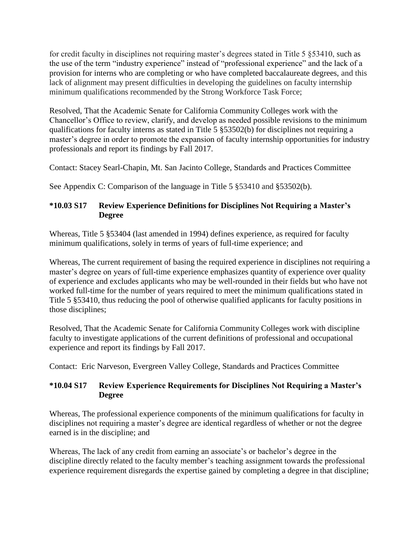for credit faculty in disciplines not requiring master's degrees stated in Title 5 §53410, such as the use of the term "industry experience" instead of "professional experience" and the lack of a provision for interns who are completing or who have completed baccalaureate degrees, and this lack of alignment may present difficulties in developing the guidelines on faculty internship minimum qualifications recommended by the Strong Workforce Task Force;

Resolved, That the Academic Senate for California Community Colleges work with the Chancellor's Office to review, clarify, and develop as needed possible revisions to the minimum qualifications for faculty interns as stated in Title 5 §53502(b) for disciplines not requiring a master's degree in order to promote the expansion of faculty internship opportunities for industry professionals and report its findings by Fall 2017.

Contact: Stacey Searl-Chapin, Mt. San Jacinto College, Standards and Practices Committee

See Appendix C: Comparison of the language in Title 5 §53410 and §53502(b).

## <span id="page-8-0"></span>**\*10.03 S17 Review Experience Definitions for Disciplines Not Requiring a Master's Degree**

Whereas, Title 5 §53404 (last amended in 1994) defines experience, as required for faculty minimum qualifications, solely in terms of years of full-time experience; and

Whereas, The current requirement of basing the required experience in disciplines not requiring a master's degree on years of full-time experience emphasizes quantity of experience over quality of experience and excludes applicants who may be well-rounded in their fields but who have not worked full-time for the number of years required to meet the minimum qualifications stated in Title 5 §53410, thus reducing the pool of otherwise qualified applicants for faculty positions in those disciplines;

Resolved, That the Academic Senate for California Community Colleges work with discipline faculty to investigate applications of the current definitions of professional and occupational experience and report its findings by Fall 2017.

Contact: Eric Narveson, Evergreen Valley College, Standards and Practices Committee

### <span id="page-8-1"></span>**\*10.04 S17 Review Experience Requirements for Disciplines Not Requiring a Master's Degree**

Whereas, The professional experience components of the minimum qualifications for faculty in disciplines not requiring a master's degree are identical regardless of whether or not the degree earned is in the discipline; and

Whereas, The lack of any credit from earning an associate's or bachelor's degree in the discipline directly related to the faculty member's teaching assignment towards the professional experience requirement disregards the expertise gained by completing a degree in that discipline;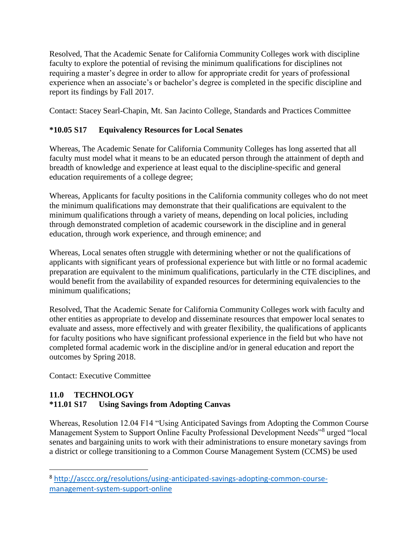Resolved, That the Academic Senate for California Community Colleges work with discipline faculty to explore the potential of revising the minimum qualifications for disciplines not requiring a master's degree in order to allow for appropriate credit for years of professional experience when an associate's or bachelor's degree is completed in the specific discipline and report its findings by Fall 2017.

Contact: Stacey Searl-Chapin, Mt. San Jacinto College, Standards and Practices Committee

# <span id="page-9-0"></span>**\*10.05 S17 Equivalency Resources for Local Senates**

Whereas, The Academic Senate for California Community Colleges has long asserted that all faculty must model what it means to be an educated person through the attainment of depth and breadth of knowledge and experience at least equal to the discipline-specific and general education requirements of a college degree;

Whereas, Applicants for faculty positions in the California community colleges who do not meet the minimum qualifications may demonstrate that their qualifications are equivalent to the minimum qualifications through a variety of means, depending on local policies, including through demonstrated completion of academic coursework in the discipline and in general education, through work experience, and through eminence; and

Whereas, Local senates often struggle with determining whether or not the qualifications of applicants with significant years of professional experience but with little or no formal academic preparation are equivalent to the minimum qualifications, particularly in the CTE disciplines, and would benefit from the availability of expanded resources for determining equivalencies to the minimum qualifications;

Resolved, That the Academic Senate for California Community Colleges work with faculty and other entities as appropriate to develop and disseminate resources that empower local senates to evaluate and assess, more effectively and with greater flexibility, the qualifications of applicants for faculty positions who have significant professional experience in the field but who have not completed formal academic work in the discipline and/or in general education and report the outcomes by Spring 2018.

Contact: Executive Committee

 $\overline{a}$ 

# <span id="page-9-2"></span><span id="page-9-1"></span>**11.0 TECHNOLOGY \*11.01 S17 Using Savings from Adopting Canvas**

Whereas, Resolution 12.04 F14 "Using Anticipated Savings from Adopting the Common Course Management System to Support Online Faculty Professional Development Needs"<sup>8</sup> urged "local senates and bargaining units to work with their administrations to ensure monetary savings from a district or college transitioning to a Common Course Management System (CCMS) be used

<sup>8</sup> [http://asccc.org/resolutions/using-anticipated-savings-adopting-common-course](http://asccc.org/resolutions/using-anticipated-savings-adopting-common-course-management-system-support-online)[management-system-support-online](http://asccc.org/resolutions/using-anticipated-savings-adopting-common-course-management-system-support-online)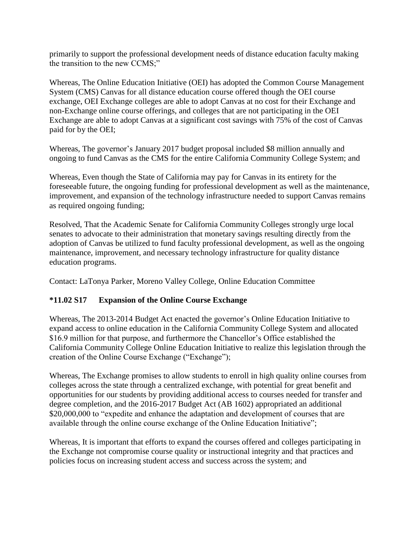primarily to support the professional development needs of distance education faculty making the transition to the new CCMS;"

Whereas, The Online Education Initiative (OEI) has adopted the Common Course Management System (CMS) Canvas for all distance education course offered though the OEI course exchange, OEI Exchange colleges are able to adopt Canvas at no cost for their Exchange and non-Exchange online course offerings, and colleges that are not participating in the OEI Exchange are able to adopt Canvas at a significant cost savings with 75% of the cost of Canvas paid for by the OEI;

Whereas, The governor's January 2017 budget proposal included \$8 million annually and ongoing to fund Canvas as the CMS for the entire California Community College System; and

Whereas, Even though the State of California may pay for Canvas in its entirety for the foreseeable future, the ongoing funding for professional development as well as the maintenance, improvement, and expansion of the technology infrastructure needed to support Canvas remains as required ongoing funding;

Resolved, That the Academic Senate for California Community Colleges strongly urge local senates to advocate to their administration that monetary savings resulting directly from the adoption of Canvas be utilized to fund faculty professional development, as well as the ongoing maintenance, improvement, and necessary technology infrastructure for quality distance education programs.

Contact: LaTonya Parker, Moreno Valley College, Online Education Committee

# <span id="page-10-0"></span>**\*11.02 S17 Expansion of the Online Course Exchange**

Whereas, The 2013-2014 Budget Act enacted the governor's Online Education Initiative to expand access to online education in the California Community College System and allocated \$16.9 million for that purpose, and furthermore the Chancellor's Office established the California Community College Online Education Initiative to realize this legislation through the creation of the Online Course Exchange ("Exchange");

Whereas, The Exchange promises to allow students to enroll in high quality online courses from colleges across the state through a centralized exchange, with potential for great benefit and opportunities for our students by providing additional access to courses needed for transfer and degree completion, and the 2016-2017 Budget Act (AB 1602) appropriated an additional \$20,000,000 to "expedite and enhance the adaptation and development of courses that are available through the online course exchange of the Online Education Initiative";

Whereas, It is important that efforts to expand the courses offered and colleges participating in the Exchange not compromise course quality or instructional integrity and that practices and policies focus on increasing student access and success across the system; and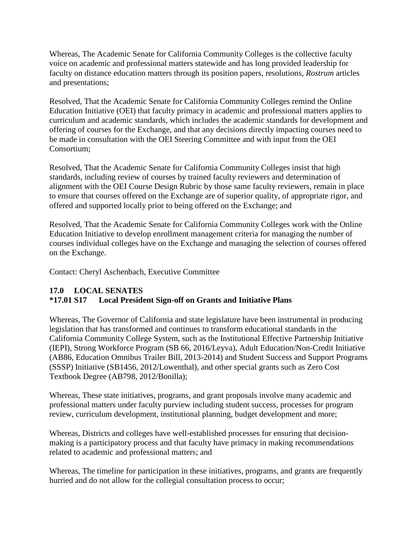Whereas, The Academic Senate for California Community Colleges is the collective faculty voice on academic and professional matters statewide and has long provided leadership for faculty on distance education matters through its position papers, resolutions, *Rostrum* articles and presentations;

Resolved, That the Academic Senate for California Community Colleges remind the Online Education Initiative (OEI) that faculty primacy in academic and professional matters applies to curriculum and academic standards, which includes the academic standards for development and offering of courses for the Exchange, and that any decisions directly impacting courses need to be made in consultation with the OEI Steering Committee and with input from the OEI Consortium;

Resolved, That the Academic Senate for California Community Colleges insist that high standards, including review of courses by trained faculty reviewers and determination of alignment with the OEI Course Design Rubric by those same faculty reviewers, remain in place to ensure that courses offered on the Exchange are of superior quality, of appropriate rigor, and offered and supported locally prior to being offered on the Exchange; and

Resolved, That the Academic Senate for California Community Colleges work with the Online Education Initiative to develop enrollment management criteria for managing the number of courses individual colleges have on the Exchange and managing the selection of courses offered on the Exchange.

Contact: Cheryl Aschenbach, Executive Committee

#### <span id="page-11-1"></span><span id="page-11-0"></span>**17.0 LOCAL SENATES \*17.01 S17 Local President Sign-off on Grants and Initiative Plans**

Whereas, The Governor of California and state legislature have been instrumental in producing legislation that has transformed and continues to transform educational standards in the California Community College System, such as the Institutional Effective Partnership Initiative (IEPI), Strong Workforce Program (SB 66, 2016/Leyva), Adult Education/Non-Credit Initiative (AB86, Education Omnibus Trailer Bill, 2013-2014) and Student Success and Support Programs (SSSP) Initiative (SB1456, 2012/Lowenthal), and other special grants such as Zero Cost Textbook Degree (AB798, 2012/Bonilla);

Whereas, These state initiatives, programs, and grant proposals involve many academic and professional matters under faculty purview including student success, processes for program review, curriculum development, institutional planning, budget development and more;

Whereas, Districts and colleges have well-established processes for ensuring that decisionmaking is a participatory process and that faculty have primacy in making recommendations related to academic and professional matters; and

Whereas, The timeline for participation in these initiatives, programs, and grants are frequently hurried and do not allow for the collegial consultation process to occur;